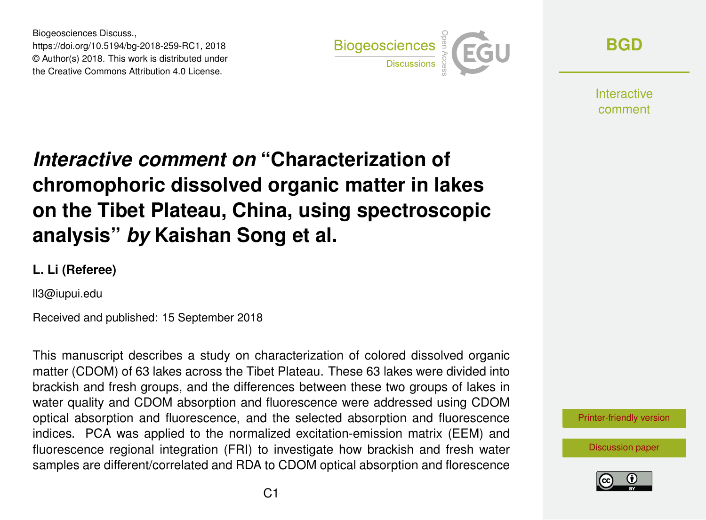Biogeosciences Discuss., https://doi.org/10.5194/bg-2018-259-RC1, 2018 © Author(s) 2018. This work is distributed under the Creative Commons Attribution 4.0 License.



**[BGD](https://www.biogeosciences-discuss.net/)**

**Interactive** comment

## *Interactive comment on* **"Characterization of chromophoric dissolved organic matter in lakes on the Tibet Plateau, China, using spectroscopic analysis"** *by* **Kaishan Song et al.**

## **L. Li (Referee)**

ll3@iupui.edu

Received and published: 15 September 2018

This manuscript describes a study on characterization of colored dissolved organic matter (CDOM) of 63 lakes across the Tibet Plateau. These 63 lakes were divided into brackish and fresh groups, and the differences between these two groups of lakes in water quality and CDOM absorption and fluorescence were addressed using CDOM optical absorption and fluorescence, and the selected absorption and fluorescence indices. PCA was applied to the normalized excitation-emission matrix (EEM) and fluorescence regional integration (FRI) to investigate how brackish and fresh water samples are different/correlated and RDA to CDOM optical absorption and florescence



[Discussion paper](https://www.biogeosciences-discuss.net/bg-2018-259)

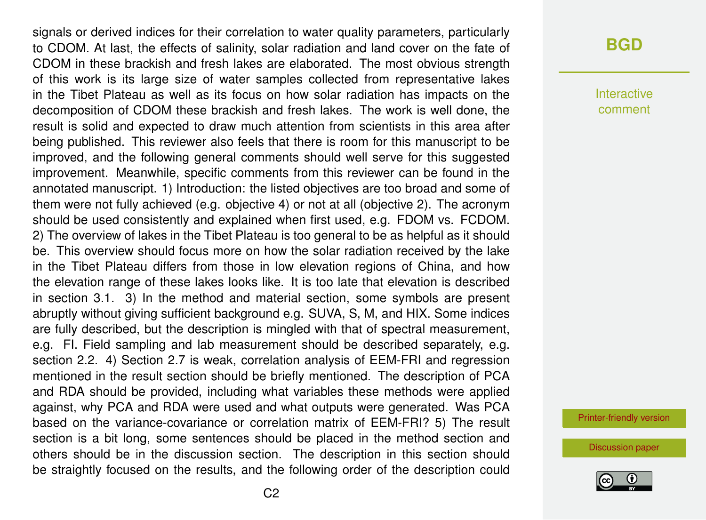signals or derived indices for their correlation to water quality parameters, particularly to CDOM. At last, the effects of salinity, solar radiation and land cover on the fate of CDOM in these brackish and fresh lakes are elaborated. The most obvious strength of this work is its large size of water samples collected from representative lakes in the Tibet Plateau as well as its focus on how solar radiation has impacts on the decomposition of CDOM these brackish and fresh lakes. The work is well done, the result is solid and expected to draw much attention from scientists in this area after being published. This reviewer also feels that there is room for this manuscript to be improved, and the following general comments should well serve for this suggested improvement. Meanwhile, specific comments from this reviewer can be found in the annotated manuscript. 1) Introduction: the listed objectives are too broad and some of them were not fully achieved (e.g. objective 4) or not at all (objective 2). The acronym should be used consistently and explained when first used, e.g. FDOM vs. FCDOM. 2) The overview of lakes in the Tibet Plateau is too general to be as helpful as it should be. This overview should focus more on how the solar radiation received by the lake in the Tibet Plateau differs from those in low elevation regions of China, and how the elevation range of these lakes looks like. It is too late that elevation is described in section 3.1. 3) In the method and material section, some symbols are present abruptly without giving sufficient background e.g. SUVA, S, M, and HIX. Some indices are fully described, but the description is mingled with that of spectral measurement, e.g. FI. Field sampling and lab measurement should be described separately, e.g. section 2.2. 4) Section 2.7 is weak, correlation analysis of EEM-FRI and regression mentioned in the result section should be briefly mentioned. The description of PCA and RDA should be provided, including what variables these methods were applied against, why PCA and RDA were used and what outputs were generated. Was PCA based on the variance-covariance or correlation matrix of EEM-FRI? 5) The result section is a bit long, some sentences should be placed in the method section and others should be in the discussion section. The description in this section should be straightly focused on the results, and the following order of the description could

## **[BGD](https://www.biogeosciences-discuss.net/)**

Interactive comment

[Printer-friendly version](https://www.biogeosciences-discuss.net/bg-2018-259/bg-2018-259-RC1-print.pdf)

[Discussion paper](https://www.biogeosciences-discuss.net/bg-2018-259)